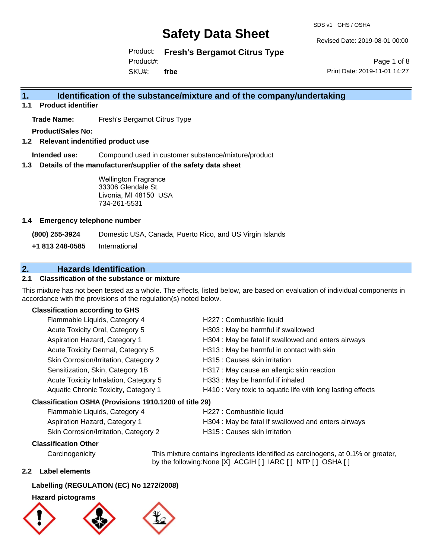SDS v1 GHS / OSHA

Revised Date: 2019-08-01 00:00

Product: **Fresh's Bergamot Citrus Type**

Product#:

SKU#: **frbe**

Page 1 of 8 Print Date: 2019-11-01 14:27

## **1. Identification of the substance/mixture and of the company/undertaking**

**1.1 Product identifier**

**Trade Name:** Fresh's Bergamot Citrus Type

**Product/Sales No:**

**1.2 Relevant indentified product use**

**Intended use:** Compound used in customer substance/mixture/product

**1.3 Details of the manufacturer/supplier of the safety data sheet**

Wellington Fragrance 33306 Glendale St. Livonia, MI 48150 USA 734-261-5531

#### **1.4 Emergency telephone number**

**(800) 255-3924** Domestic USA, Canada, Puerto Rico, and US Virgin Islands

**+1 813 248-0585** International

## **2. Hazards Identification**

#### **2.1 Classification of the substance or mixture**

This mixture has not been tested as a whole. The effects, listed below, are based on evaluation of individual components in accordance with the provisions of the regulation(s) noted below.

#### **Classification according to GHS**

| H227 : Combustible liquid                                   |  |  |
|-------------------------------------------------------------|--|--|
| H303 : May be harmful if swallowed                          |  |  |
| H304 : May be fatal if swallowed and enters airways         |  |  |
| H313 : May be harmful in contact with skin                  |  |  |
| H315 : Causes skin irritation                               |  |  |
| H317 : May cause an allergic skin reaction                  |  |  |
| H333: May be harmful if inhaled                             |  |  |
| H410 : Very toxic to aquatic life with long lasting effects |  |  |
| Classification OSHA (Provisions 1910.1200 of title 29)      |  |  |
| H227 : Combustible liquid                                   |  |  |
|                                                             |  |  |

| Flammable Liquius, Calegory 4         | <b>ITZZI.</b> OUTINGSHIJI <del>C</del> IIYUIU       |
|---------------------------------------|-----------------------------------------------------|
| Aspiration Hazard, Category 1         | H304 : May be fatal if swallowed and enters airways |
| Skin Corrosion/Irritation, Category 2 | H315 : Causes skin irritation                       |

#### **Classification Other**

Carcinogenicity This mixture contains ingredients identified as carcinogens, at 0.1% or greater, by the following:None [X] ACGIH [] IARC [] NTP [] OSHA []

#### **2.2 Label elements**

#### **Labelling (REGULATION (EC) No 1272/2008)**

#### **Hazard pictograms**





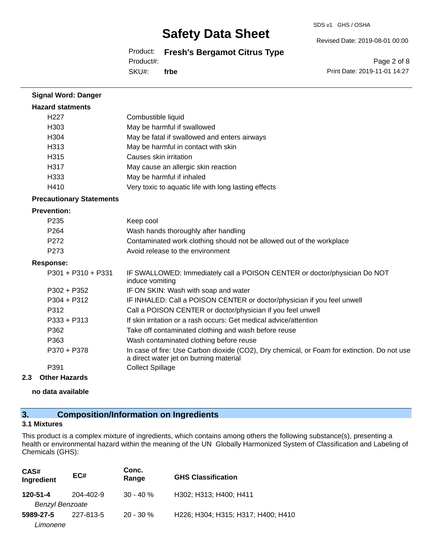SDS v1 GHS / OSHA

Revised Date: 2019-08-01 00:00

Product: **Fresh's Bergamot Citrus Type**

Product#:

SKU#: **frbe**

Page 2 of 8 Print Date: 2019-11-01 14:27

| <b>Signal Word: Danger</b>      |                                                                                                                                       |
|---------------------------------|---------------------------------------------------------------------------------------------------------------------------------------|
| <b>Hazard statments</b>         |                                                                                                                                       |
| H227                            | Combustible liquid                                                                                                                    |
| H303                            | May be harmful if swallowed                                                                                                           |
| H304                            | May be fatal if swallowed and enters airways                                                                                          |
| H313                            | May be harmful in contact with skin                                                                                                   |
| H315                            | Causes skin irritation                                                                                                                |
| H317                            | May cause an allergic skin reaction                                                                                                   |
| H333                            | May be harmful if inhaled                                                                                                             |
| H410                            | Very toxic to aquatic life with long lasting effects                                                                                  |
| <b>Precautionary Statements</b> |                                                                                                                                       |
| <b>Prevention:</b>              |                                                                                                                                       |
| P <sub>235</sub>                | Keep cool                                                                                                                             |
| P <sub>264</sub>                | Wash hands thoroughly after handling                                                                                                  |
| P272                            | Contaminated work clothing should not be allowed out of the workplace                                                                 |
| P <sub>273</sub>                | Avoid release to the environment                                                                                                      |
| <b>Response:</b>                |                                                                                                                                       |
| P301 + P310 + P331              | IF SWALLOWED: Immediately call a POISON CENTER or doctor/physician Do NOT<br>induce vomiting                                          |
| $P302 + P352$                   | IF ON SKIN: Wash with soap and water                                                                                                  |
| $P304 + P312$                   | IF INHALED: Call a POISON CENTER or doctor/physician if you feel unwell                                                               |
| P312                            | Call a POISON CENTER or doctor/physician if you feel unwell                                                                           |
| P333 + P313                     | If skin irritation or a rash occurs: Get medical advice/attention                                                                     |
| P362                            | Take off contaminated clothing and wash before reuse                                                                                  |
| P363                            | Wash contaminated clothing before reuse                                                                                               |
| P370 + P378                     | In case of fire: Use Carbon dioxide (CO2), Dry chemical, or Foam for extinction. Do not use<br>a direct water jet on burning material |
| P391                            | <b>Collect Spillage</b>                                                                                                               |

#### **2.3 Other Hazards**

**no data available**

## **3. Composition/Information on Ingredients**

#### **3.1 Mixtures**

This product is a complex mixture of ingredients, which contains among others the following substance(s), presenting a health or environmental hazard within the meaning of the UN Globally Harmonized System of Classification and Labeling of Chemicals (GHS):

| CAS#<br>Ingredient     | EC#       | Conc.<br>Range | <b>GHS Classification</b>          |
|------------------------|-----------|----------------|------------------------------------|
| 120-51-4               | 204-402-9 | $30 - 40 \%$   | H302; H313; H400; H411             |
| <b>Benzyl Benzoate</b> |           |                |                                    |
| 5989-27-5              | 227-813-5 | $20 - 30 \%$   | H226; H304; H315; H317; H400; H410 |
| Limonene               |           |                |                                    |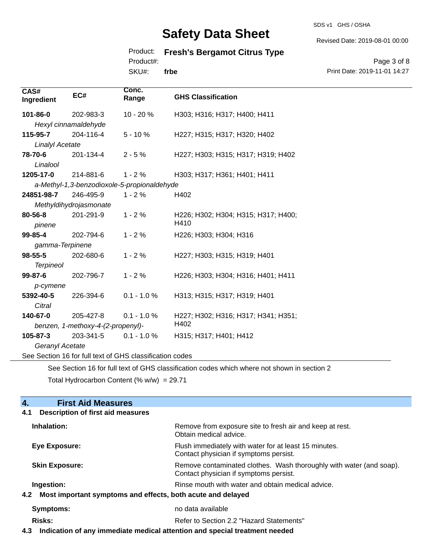SDS v1 GHS / OSHA

Revised Date: 2019-08-01 00:00

## Product: **Fresh's Bergamot Citrus Type**

Product#:

SKU#: **frbe**

Page 3 of 8 Print Date: 2019-11-01 14:27

| CAS#<br>Ingredient                        | EC#                                         | Conc.<br>Range | <b>GHS Classification</b>           |
|-------------------------------------------|---------------------------------------------|----------------|-------------------------------------|
| 101-86-0                                  | 202-983-3                                   | 10 - 20 %      | H303; H316; H317; H400; H411        |
|                                           | Hexyl cinnamaldehyde                        |                |                                     |
| 115-95-7                                  | 204-116-4                                   | $5 - 10%$      | H227; H315; H317; H320; H402        |
| <b>Linalyl Acetate</b>                    |                                             |                |                                     |
| 78-70-6                                   | 201-134-4                                   | $2 - 5%$       | H227; H303; H315; H317; H319; H402  |
| Linalool                                  |                                             |                |                                     |
| 1205-17-0                                 | 214-881-6                                   | $1 - 2%$       | H303; H317; H361; H401; H411        |
|                                           | a-Methyl-1,3-benzodioxole-5-propionaldehyde |                |                                     |
| 24851-98-7                                | 246-495-9                                   | $1 - 2%$       | H402                                |
|                                           | Methyldihydrojasmonate                      |                |                                     |
| 80-56-8                                   | 201-291-9                                   | $1 - 2%$       | H226; H302; H304; H315; H317; H400; |
| pinene                                    |                                             |                | H410                                |
| 99-85-4                                   | 202-794-6                                   | $1 - 2%$       | H226; H303; H304; H316              |
| gamma-Terpinene                           |                                             |                |                                     |
| $98 - 55 - 5$                             | 202-680-6                                   | $1 - 2%$       | H227; H303; H315; H319; H401        |
| <b>Terpineol</b>                          |                                             |                |                                     |
| $99 - 87 - 6$                             | 202-796-7                                   | $1 - 2%$       | H226; H303; H304; H316; H401; H411  |
| p-cymene                                  |                                             |                |                                     |
| 5392-40-5                                 | 226-394-6                                   | $0.1 - 1.0 %$  | H313; H315; H317; H319; H401        |
| Citral                                    |                                             |                |                                     |
| 140-67-0                                  | 205-427-8                                   | $0.1 - 1.0 %$  | H227; H302; H316; H317; H341; H351; |
| H402<br>benzen, 1-methoxy-4-(2-propenyl)- |                                             |                |                                     |
| $105 - 87 - 3$                            | 203-341-5                                   | $0.1 - 1.0 %$  | H315; H317; H401; H412              |
| Geranyl Acetate                           |                                             |                |                                     |

See Section 16 for full text of GHS classification codes

See Section 16 for full text of GHS classification codes which where not shown in section 2

Total Hydrocarbon Content (%  $w/w$ ) = 29.71

# **4.** First Aid Measures<br>**4.1** Description of first aid meas

| Inhalation:<br>Remove from exposure site to fresh air and keep at rest.<br>Obtain medical advice.<br>Flush immediately with water for at least 15 minutes.<br>Eye Exposure:<br>Contact physician if symptoms persist.<br>Remove contaminated clothes. Wash thoroughly with water (and soap).<br><b>Skin Exposure:</b><br>Contact physician if symptoms persist.<br>Ingestion:<br>Rinse mouth with water and obtain medical advice.<br>4.2 Most important symptoms and effects, both acute and delayed<br>no data available<br>Symptoms:<br>Risks:<br>Refer to Section 2.2 "Hazard Statements" | Description of first aid measures<br>4.1 |  |  |
|-----------------------------------------------------------------------------------------------------------------------------------------------------------------------------------------------------------------------------------------------------------------------------------------------------------------------------------------------------------------------------------------------------------------------------------------------------------------------------------------------------------------------------------------------------------------------------------------------|------------------------------------------|--|--|
|                                                                                                                                                                                                                                                                                                                                                                                                                                                                                                                                                                                               |                                          |  |  |
|                                                                                                                                                                                                                                                                                                                                                                                                                                                                                                                                                                                               |                                          |  |  |
|                                                                                                                                                                                                                                                                                                                                                                                                                                                                                                                                                                                               |                                          |  |  |
|                                                                                                                                                                                                                                                                                                                                                                                                                                                                                                                                                                                               |                                          |  |  |
|                                                                                                                                                                                                                                                                                                                                                                                                                                                                                                                                                                                               |                                          |  |  |
|                                                                                                                                                                                                                                                                                                                                                                                                                                                                                                                                                                                               |                                          |  |  |
|                                                                                                                                                                                                                                                                                                                                                                                                                                                                                                                                                                                               |                                          |  |  |

**4.3 Indication of any immediate medical attention and special treatment needed**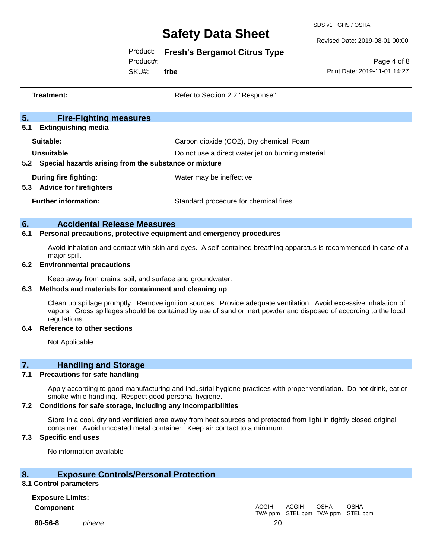SDS v1 GHS / OSHA

Revised Date: 2019-08-01 00:00

## Product: **Fresh's Bergamot Citrus Type**

Product#:

SKU#: **frbe**

Page 4 of 8 Print Date: 2019-11-01 14:27

|     | Treatment:                                                                                                                        | Refer to Section 2.2 "Response"                                                                                  |
|-----|-----------------------------------------------------------------------------------------------------------------------------------|------------------------------------------------------------------------------------------------------------------|
|     |                                                                                                                                   |                                                                                                                  |
| 5.  | <b>Fire-Fighting measures</b><br><b>Extinguishing media</b>                                                                       |                                                                                                                  |
| 5.1 |                                                                                                                                   |                                                                                                                  |
|     | Suitable:                                                                                                                         | Carbon dioxide (CO2), Dry chemical, Foam                                                                         |
|     | Unsuitable                                                                                                                        | Do not use a direct water jet on burning material                                                                |
|     | 5.2 Special hazards arising from the substance or mixture                                                                         |                                                                                                                  |
|     | <b>During fire fighting:</b>                                                                                                      | Water may be ineffective                                                                                         |
|     | 5.3 Advice for firefighters                                                                                                       |                                                                                                                  |
|     | <b>Further information:</b>                                                                                                       | Standard procedure for chemical fires                                                                            |
| 6.  | <b>Accidental Release Measures</b>                                                                                                |                                                                                                                  |
| 6.1 | Personal precautions, protective equipment and emergency procedures                                                               |                                                                                                                  |
|     | Avoid inhalation and contact with skin and eyes. A self-contained breathing apparatus is recommended in case of a<br>major spill. |                                                                                                                  |
| 6.2 | <b>Environmental precautions</b>                                                                                                  |                                                                                                                  |
|     | Keep away from drains, soil, and surface and groundwater.                                                                         |                                                                                                                  |
| 6.3 | Methods and materials for containment and cleaning up                                                                             |                                                                                                                  |
|     |                                                                                                                                   | Clean up spillage promptly. Remove ignition sources. Provide adequate ventilation. Avoid excessive inhalation of |

vapors. Gross spillages should be contained by use of sand or inert powder and disposed of according to the local regulations.

#### **6.4 Reference to other sections**

Not Applicable

## **7. Handling and Storage**

#### **7.1 Precautions for safe handling**

Apply according to good manufacturing and industrial hygiene practices with proper ventilation. Do not drink, eat or smoke while handling. Respect good personal hygiene.

#### **7.2 Conditions for safe storage, including any incompatibilities**

Store in a cool, dry and ventilated area away from heat sources and protected from light in tightly closed original container. Avoid uncoated metal container. Keep air contact to a minimum.

## **7.3 Specific end uses**

No information available

#### **8. Exposure Controls/Personal Protection**

#### **8.1 Control parameters**

**Exposure Limits: Component** ACGIH

**80-56-8** *pinene* 20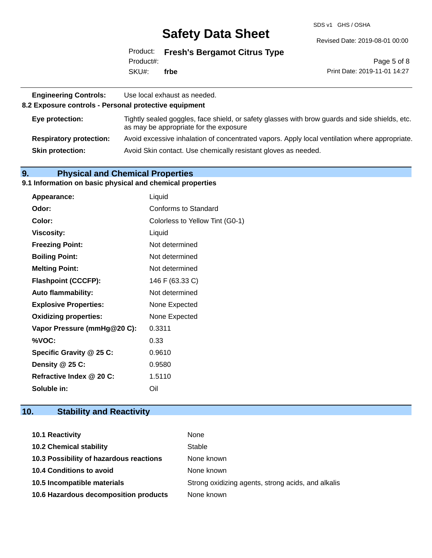SDS v1 GHS / OSHA

Revised Date: 2019-08-01 00:00

Product: **Fresh's Bergamot Citrus Type** SKU#: Product#: **frbe**

Page 5 of 8 Print Date: 2019-11-01 14:27

| <b>Engineering Controls:</b><br>Use local exhaust as needed.<br>8.2 Exposure controls - Personal protective equipment |                                                                                                                                          |  |
|-----------------------------------------------------------------------------------------------------------------------|------------------------------------------------------------------------------------------------------------------------------------------|--|
| Eye protection:                                                                                                       | Tightly sealed goggles, face shield, or safety glasses with brow guards and side shields, etc.<br>as may be appropriate for the exposure |  |
| <b>Respiratory protection:</b>                                                                                        | Avoid excessive inhalation of concentrated vapors. Apply local ventilation where appropriate.                                            |  |
| <b>Skin protection:</b>                                                                                               | Avoid Skin contact. Use chemically resistant gloves as needed.                                                                           |  |

## **9. Physical and Chemical Properties**

#### **9.1 Information on basic physical and chemical properties**

| Appearance:                  | Liquid                          |
|------------------------------|---------------------------------|
| Odor:                        | Conforms to Standard            |
| Color:                       | Colorless to Yellow Tint (G0-1) |
| <b>Viscosity:</b>            | Liquid                          |
| <b>Freezing Point:</b>       | Not determined                  |
| <b>Boiling Point:</b>        | Not determined                  |
| <b>Melting Point:</b>        | Not determined                  |
| <b>Flashpoint (CCCFP):</b>   | 146 F (63.33 C)                 |
| <b>Auto flammability:</b>    | Not determined                  |
| <b>Explosive Properties:</b> | None Expected                   |
| <b>Oxidizing properties:</b> | None Expected                   |
| Vapor Pressure (mmHg@20 C):  | 0.3311                          |
| %VOC:                        | 0.33                            |
| Specific Gravity @ 25 C:     | 0.9610                          |
| Density @ 25 C:              | 0.9580                          |
| Refractive Index @ 20 C:     | 1.5110                          |
| Soluble in:                  | Oil                             |

## **10. Stability and Reactivity**

| 10.1 Reactivity                         | None                                               |
|-----------------------------------------|----------------------------------------------------|
| <b>10.2 Chemical stability</b>          | Stable                                             |
| 10.3 Possibility of hazardous reactions | None known                                         |
| <b>10.4 Conditions to avoid</b>         | None known                                         |
| 10.5 Incompatible materials             | Strong oxidizing agents, strong acids, and alkalis |
| 10.6 Hazardous decomposition products   | None known                                         |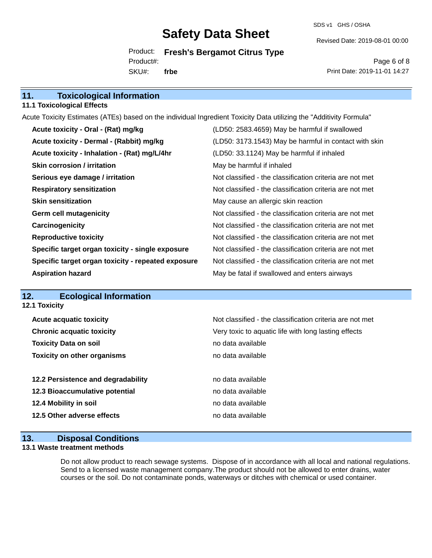SDS v1 GHS / OSHA

Revised Date: 2019-08-01 00:00

Product: **Fresh's Bergamot Citrus Type** SKU#: Product#: **frbe**

Page 6 of 8 Print Date: 2019-11-01 14:27

## **11. Toxicological Information**

#### **11.1 Toxicological Effects**

Acute Toxicity Estimates (ATEs) based on the individual Ingredient Toxicity Data utilizing the "Additivity Formula"

| Acute toxicity - Oral - (Rat) mg/kg                | (LD50: 2583.4659) May be harmful if swallowed            |
|----------------------------------------------------|----------------------------------------------------------|
| Acute toxicity - Dermal - (Rabbit) mg/kg           | (LD50: 3173.1543) May be harmful in contact with skin    |
| Acute toxicity - Inhalation - (Rat) mg/L/4hr       | (LD50: 33.1124) May be harmful if inhaled                |
| <b>Skin corrosion / irritation</b>                 | May be harmful if inhaled                                |
| Serious eye damage / irritation                    | Not classified - the classification criteria are not met |
| <b>Respiratory sensitization</b>                   | Not classified - the classification criteria are not met |
| <b>Skin sensitization</b>                          | May cause an allergic skin reaction                      |
| <b>Germ cell mutagenicity</b>                      | Not classified - the classification criteria are not met |
| Carcinogenicity                                    | Not classified - the classification criteria are not met |
| <b>Reproductive toxicity</b>                       | Not classified - the classification criteria are not met |
| Specific target organ toxicity - single exposure   | Not classified - the classification criteria are not met |
| Specific target organ toxicity - repeated exposure | Not classified - the classification criteria are not met |
| <b>Aspiration hazard</b>                           | May be fatal if swallowed and enters airways             |

## **12. Ecological Information**

| 12.1 Toxicity                                            |  |  |  |
|----------------------------------------------------------|--|--|--|
| Not classified - the classification criteria are not met |  |  |  |
| Very toxic to aquatic life with long lasting effects     |  |  |  |
| no data available                                        |  |  |  |
| no data available                                        |  |  |  |
|                                                          |  |  |  |
| no data available                                        |  |  |  |
| no data available                                        |  |  |  |
| no data available                                        |  |  |  |
| no data available                                        |  |  |  |
|                                                          |  |  |  |

#### **13. Disposal Conditions**

#### **13.1 Waste treatment methods**

Do not allow product to reach sewage systems. Dispose of in accordance with all local and national regulations. Send to a licensed waste management company.The product should not be allowed to enter drains, water courses or the soil. Do not contaminate ponds, waterways or ditches with chemical or used container.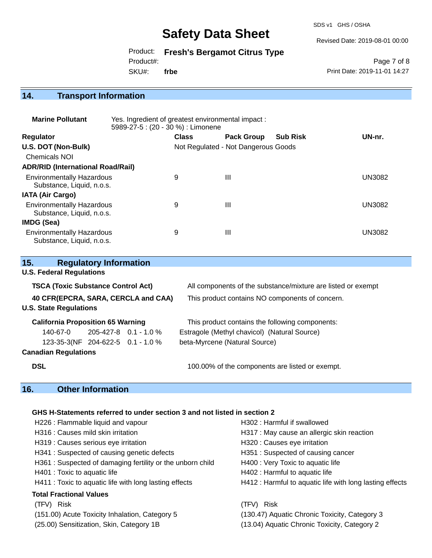SDS v1 GHS / OSHA

Revised Date: 2019-08-01 00:00

Product: **Fresh's Bergamot Citrus Type**

Product#:

SKU#: **frbe**

Page 7 of 8 Print Date: 2019-11-01 14:27

# **14. Transport Information**

| <b>Marine Pollutant</b>                                       | Yes. Ingredient of greatest environmental impact:<br>5989-27-5 : (20 - 30 %) : Limonene |              |                                     |                 |               |
|---------------------------------------------------------------|-----------------------------------------------------------------------------------------|--------------|-------------------------------------|-----------------|---------------|
| <b>Regulator</b>                                              |                                                                                         | <b>Class</b> | <b>Pack Group</b>                   | <b>Sub Risk</b> | UN-nr.        |
| U.S. DOT (Non-Bulk)                                           |                                                                                         |              | Not Regulated - Not Dangerous Goods |                 |               |
| Chemicals NOI                                                 |                                                                                         |              |                                     |                 |               |
| <b>ADR/RID (International Road/Rail)</b>                      |                                                                                         |              |                                     |                 |               |
| <b>Environmentally Hazardous</b><br>Substance, Liquid, n.o.s. |                                                                                         | 9            | Ш                                   |                 | <b>UN3082</b> |
| <b>IATA (Air Cargo)</b>                                       |                                                                                         |              |                                     |                 |               |
| <b>Environmentally Hazardous</b><br>Substance, Liquid, n.o.s. |                                                                                         | 9            | Ш                                   |                 | <b>UN3082</b> |
| IMDG (Sea)                                                    |                                                                                         |              |                                     |                 |               |
| <b>Environmentally Hazardous</b><br>Substance, Liquid, n.o.s. |                                                                                         | 9            | Ш                                   |                 | <b>UN3082</b> |

| 15.                                       | <b>Regulatory Information</b>     |                         |                                                              |  |
|-------------------------------------------|-----------------------------------|-------------------------|--------------------------------------------------------------|--|
| <b>U.S. Federal Regulations</b>           |                                   |                         |                                                              |  |
| <b>TSCA (Toxic Substance Control Act)</b> |                                   |                         | All components of the substance/mixture are listed or exempt |  |
| 40 CFR(EPCRA, SARA, CERCLA and CAA)       |                                   |                         | This product contains NO components of concern.              |  |
| <b>U.S. State Regulations</b>             |                                   |                         |                                                              |  |
| <b>California Proposition 65 Warning</b>  |                                   |                         | This product contains the following components:              |  |
| 140-67-0                                  |                                   | $205-427-8$ 0.1 - 1.0 % | Estragole (Methyl chavicol) (Natural Source)                 |  |
|                                           | 123-35-3(NF 204-622-5 0.1 - 1.0 % |                         | beta-Myrcene (Natural Source)                                |  |
| <b>Canadian Regulations</b>               |                                   |                         |                                                              |  |
| <b>DSL</b>                                |                                   |                         | 100.00% of the components are listed or exempt.              |  |
|                                           |                                   |                         |                                                              |  |

## **16. Other Information**

## **GHS H-Statements referred to under section 3 and not listed in section 2**

| H302 : Harmful if swallowed                              |
|----------------------------------------------------------|
| H317 : May cause an allergic skin reaction               |
| H320 : Causes eye irritation                             |
| H351: Suspected of causing cancer                        |
| H400 : Very Toxic to aquatic life                        |
| H402 : Harmful to aquatic life                           |
| H412 : Harmful to aquatic life with long lasting effects |
|                                                          |
| (TFV) Risk                                               |
| (130.47) Aquatic Chronic Toxicity, Category 3            |
| (13.04) Aquatic Chronic Toxicity, Category 2             |
|                                                          |